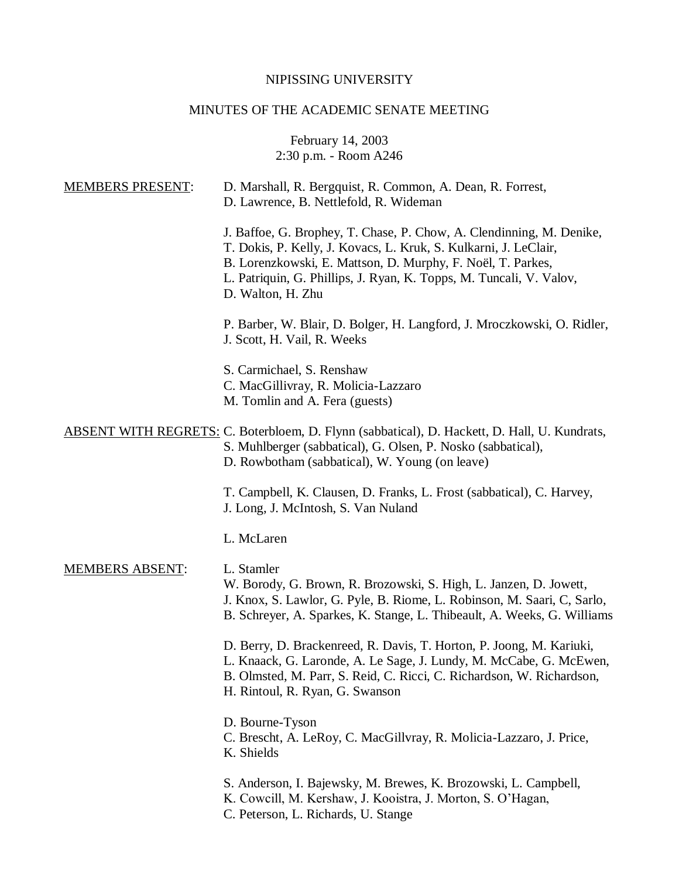# NIPISSING UNIVERSITY

# MINUTES OF THE ACADEMIC SENATE MEETING

February 14, 2003 2:30 p.m. - Room A246

| <b>MEMBERS PRESENT:</b> | D. Marshall, R. Bergquist, R. Common, A. Dean, R. Forrest,<br>D. Lawrence, B. Nettlefold, R. Wideman                                                                                                                                                                                                |
|-------------------------|-----------------------------------------------------------------------------------------------------------------------------------------------------------------------------------------------------------------------------------------------------------------------------------------------------|
|                         | J. Baffoe, G. Brophey, T. Chase, P. Chow, A. Clendinning, M. Denike,<br>T. Dokis, P. Kelly, J. Kovacs, L. Kruk, S. Kulkarni, J. LeClair,<br>B. Lorenzkowski, E. Mattson, D. Murphy, F. Noël, T. Parkes,<br>L. Patriquin, G. Phillips, J. Ryan, K. Topps, M. Tuncali, V. Valov,<br>D. Walton, H. Zhu |
|                         | P. Barber, W. Blair, D. Bolger, H. Langford, J. Mroczkowski, O. Ridler,<br>J. Scott, H. Vail, R. Weeks                                                                                                                                                                                              |
|                         | S. Carmichael, S. Renshaw<br>C. MacGillivray, R. Molicia-Lazzaro<br>M. Tomlin and A. Fera (guests)                                                                                                                                                                                                  |
|                         | <b>ABSENT WITH REGRETS: C. Boterbloem, D. Flynn (sabbatical), D. Hackett, D. Hall, U. Kundrats,</b><br>S. Muhlberger (sabbatical), G. Olsen, P. Nosko (sabbatical),<br>D. Rowbotham (sabbatical), W. Young (on leave)                                                                               |
|                         | T. Campbell, K. Clausen, D. Franks, L. Frost (sabbatical), C. Harvey,<br>J. Long, J. McIntosh, S. Van Nuland                                                                                                                                                                                        |
|                         | L. McLaren                                                                                                                                                                                                                                                                                          |
| <b>MEMBERS ABSENT:</b>  | L. Stamler<br>W. Borody, G. Brown, R. Brozowski, S. High, L. Janzen, D. Jowett,<br>J. Knox, S. Lawlor, G. Pyle, B. Riome, L. Robinson, M. Saari, C, Sarlo,<br>B. Schreyer, A. Sparkes, K. Stange, L. Thibeault, A. Weeks, G. Williams                                                               |
|                         | D. Berry, D. Brackenreed, R. Davis, T. Horton, P. Joong, M. Kariuki,<br>L. Knaack, G. Laronde, A. Le Sage, J. Lundy, M. McCabe, G. McEwen,<br>B. Olmsted, M. Parr, S. Reid, C. Ricci, C. Richardson, W. Richardson,<br>H. Rintoul, R. Ryan, G. Swanson                                              |
|                         | D. Bourne-Tyson<br>C. Brescht, A. LeRoy, C. MacGillvray, R. Molicia-Lazzaro, J. Price,<br>K. Shields                                                                                                                                                                                                |
|                         | S. Anderson, I. Bajewsky, M. Brewes, K. Brozowski, L. Campbell,<br>K. Cowcill, M. Kershaw, J. Kooistra, J. Morton, S. O'Hagan,<br>C. Peterson, L. Richards, U. Stange                                                                                                                               |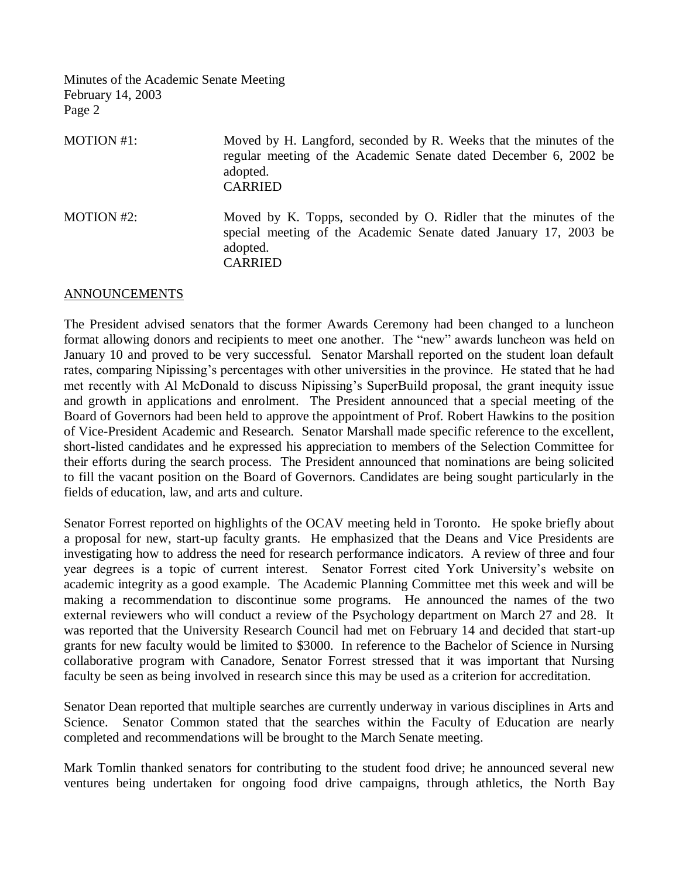| MOTION #1:        | Moved by H. Langford, seconded by R. Weeks that the minutes of the<br>regular meeting of the Academic Senate dated December 6, 2002 be<br>adopted.<br><b>CARRIED</b> |
|-------------------|----------------------------------------------------------------------------------------------------------------------------------------------------------------------|
| <b>MOTION #2:</b> | Moved by K. Topps, seconded by O. Ridler that the minutes of the<br>special meeting of the Academic Senate dated January 17, 2003 be<br>adopted.<br><b>CARRIED</b>   |

#### ANNOUNCEMENTS

The President advised senators that the former Awards Ceremony had been changed to a luncheon format allowing donors and recipients to meet one another. The "new" awards luncheon was held on January 10 and proved to be very successful. Senator Marshall reported on the student loan default rates, comparing Nipissing's percentages with other universities in the province. He stated that he had met recently with Al McDonald to discuss Nipissing's SuperBuild proposal, the grant inequity issue and growth in applications and enrolment. The President announced that a special meeting of the Board of Governors had been held to approve the appointment of Prof. Robert Hawkins to the position of Vice-President Academic and Research. Senator Marshall made specific reference to the excellent, short-listed candidates and he expressed his appreciation to members of the Selection Committee for their efforts during the search process. The President announced that nominations are being solicited to fill the vacant position on the Board of Governors. Candidates are being sought particularly in the fields of education, law, and arts and culture.

Senator Forrest reported on highlights of the OCAV meeting held in Toronto. He spoke briefly about a proposal for new, start-up faculty grants. He emphasized that the Deans and Vice Presidents are investigating how to address the need for research performance indicators. A review of three and four year degrees is a topic of current interest. Senator Forrest cited York University's website on academic integrity as a good example. The Academic Planning Committee met this week and will be making a recommendation to discontinue some programs. He announced the names of the two external reviewers who will conduct a review of the Psychology department on March 27 and 28. It was reported that the University Research Council had met on February 14 and decided that start-up grants for new faculty would be limited to \$3000. In reference to the Bachelor of Science in Nursing collaborative program with Canadore, Senator Forrest stressed that it was important that Nursing faculty be seen as being involved in research since this may be used as a criterion for accreditation.

Senator Dean reported that multiple searches are currently underway in various disciplines in Arts and Science. Senator Common stated that the searches within the Faculty of Education are nearly completed and recommendations will be brought to the March Senate meeting.

Mark Tomlin thanked senators for contributing to the student food drive; he announced several new ventures being undertaken for ongoing food drive campaigns, through athletics, the North Bay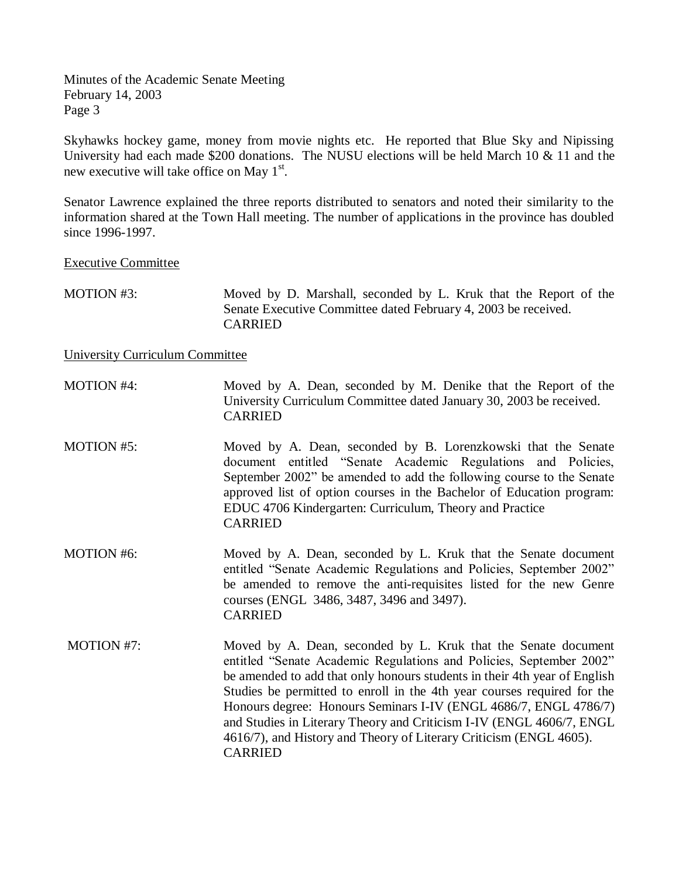Skyhawks hockey game, money from movie nights etc. He reported that Blue Sky and Nipissing University had each made \$200 donations. The NUSU elections will be held March 10 & 11 and the new executive will take office on May  $1<sup>st</sup>$ .

Senator Lawrence explained the three reports distributed to senators and noted their similarity to the information shared at the Town Hall meeting. The number of applications in the province has doubled since 1996-1997.

### Executive Committee

MOTION #3: Moved by D. Marshall, seconded by L. Kruk that the Report of the Senate Executive Committee dated February 4, 2003 be received. CARRIED

### University Curriculum Committee

| <b>MOTION #4:</b> | Moved by A. Dean, seconded by M. Denike that the Report of the<br>University Curriculum Committee dated January 30, 2003 be received.<br><b>CARRIED</b>                                                                                                                                                                                                                                                                                   |
|-------------------|-------------------------------------------------------------------------------------------------------------------------------------------------------------------------------------------------------------------------------------------------------------------------------------------------------------------------------------------------------------------------------------------------------------------------------------------|
| <b>MOTION #5:</b> | Moved by A. Dean, seconded by B. Lorenzkowski that the Senate<br>document entitled "Senate Academic Regulations and Policies,<br>September 2002" be amended to add the following course to the Senate<br>approved list of option courses in the Bachelor of Education program:<br>EDUC 4706 Kindergarten: Curriculum, Theory and Practice<br><b>CARRIED</b>                                                                               |
| <b>MOTION #6:</b> | Moved by A. Dean, seconded by L. Kruk that the Senate document<br>entitled "Senate Academic Regulations and Policies, September 2002"<br>be amended to remove the anti-requisites listed for the new Genre<br>courses (ENGL 3486, 3487, 3496 and 3497).<br><b>CARRIED</b>                                                                                                                                                                 |
| MOTION #7:        | Moved by A. Dean, seconded by L. Kruk that the Senate document<br>entitled "Senate Academic Regulations and Policies, September 2002"<br>be amended to add that only honours students in their 4th year of English<br>Studies be permitted to enroll in the 4th year courses required for the<br>Honours degree: Honours Seminars I-IV (ENGL 4686/7, ENGL 4786/7)<br>and Studies in Literary Theory and Criticism I-IV (ENGL 4606/7, ENGL |

4616/7), and History and Theory of Literary Criticism (ENGL 4605). CARRIED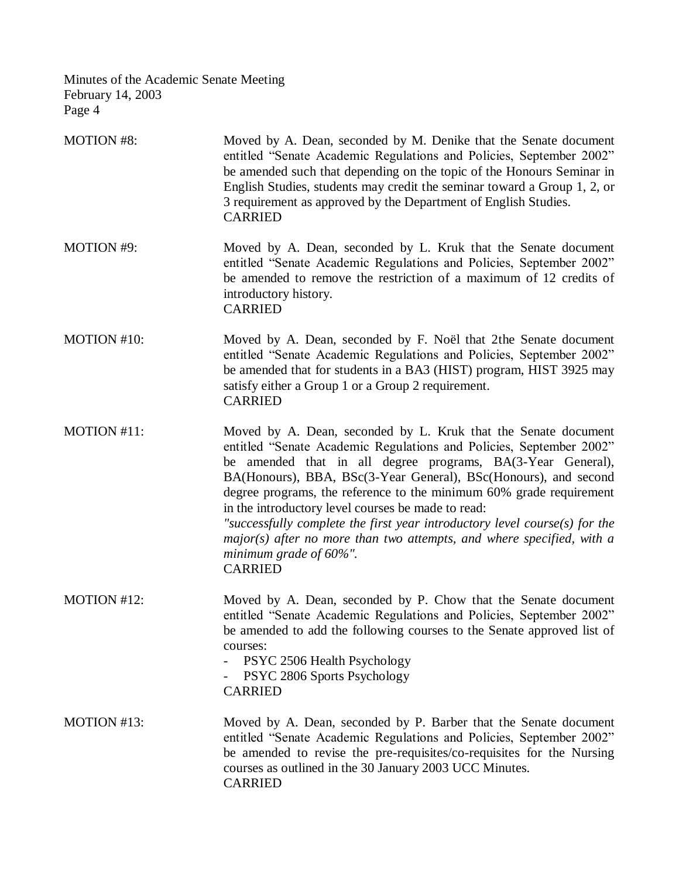| <b>MOTION #8:</b> | Moved by A. Dean, seconded by M. Denike that the Senate document<br>entitled "Senate Academic Regulations and Policies, September 2002"<br>be amended such that depending on the topic of the Honours Seminar in<br>English Studies, students may credit the seminar toward a Group 1, 2, or<br>3 requirement as approved by the Department of English Studies.<br><b>CARRIED</b>                                                                                                                                                                                                                             |
|-------------------|---------------------------------------------------------------------------------------------------------------------------------------------------------------------------------------------------------------------------------------------------------------------------------------------------------------------------------------------------------------------------------------------------------------------------------------------------------------------------------------------------------------------------------------------------------------------------------------------------------------|
| <b>MOTION #9:</b> | Moved by A. Dean, seconded by L. Kruk that the Senate document<br>entitled "Senate Academic Regulations and Policies, September 2002"<br>be amended to remove the restriction of a maximum of 12 credits of<br>introductory history.<br><b>CARRIED</b>                                                                                                                                                                                                                                                                                                                                                        |
| MOTION #10:       | Moved by A. Dean, seconded by F. Noël that 2the Senate document<br>entitled "Senate Academic Regulations and Policies, September 2002"<br>be amended that for students in a BA3 (HIST) program, HIST 3925 may<br>satisfy either a Group 1 or a Group 2 requirement.<br><b>CARRIED</b>                                                                                                                                                                                                                                                                                                                         |
| MOTION #11:       | Moved by A. Dean, seconded by L. Kruk that the Senate document<br>entitled "Senate Academic Regulations and Policies, September 2002"<br>be amended that in all degree programs, BA(3-Year General),<br>BA(Honours), BBA, BSc(3-Year General), BSc(Honours), and second<br>degree programs, the reference to the minimum 60% grade requirement<br>in the introductory level courses be made to read:<br>"successfully complete the first year introductory level course(s) for the<br>$major(s)$ after no more than two attempts, and where specified, with a<br>minimum grade of $60\%$ ".<br><b>CARRIED</b> |
| MOTION #12:       | Moved by A. Dean, seconded by P. Chow that the Senate document<br>entitled "Senate Academic Regulations and Policies, September 2002"<br>be amended to add the following courses to the Senate approved list of<br>courses:<br>PSYC 2506 Health Psychology<br>PSYC 2806 Sports Psychology<br><b>CARRIED</b>                                                                                                                                                                                                                                                                                                   |
| MOTION #13:       | Moved by A. Dean, seconded by P. Barber that the Senate document<br>entitled "Senate Academic Regulations and Policies, September 2002"<br>be amended to revise the pre-requisites/co-requisites for the Nursing<br>courses as outlined in the 30 January 2003 UCC Minutes.<br><b>CARRIED</b>                                                                                                                                                                                                                                                                                                                 |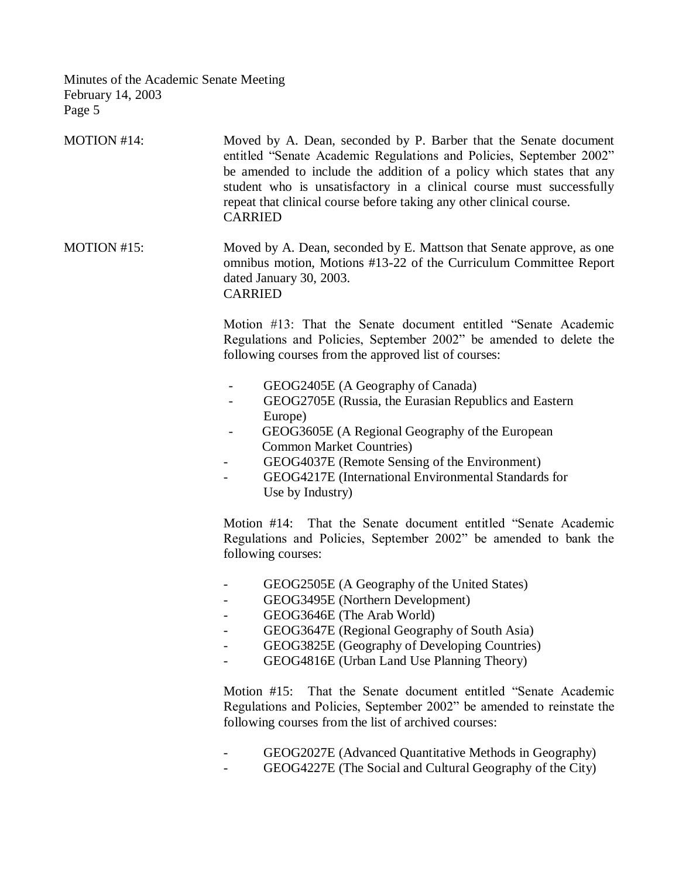| MOTION #14: | Moved by A. Dean, seconded by P. Barber that the Senate document<br>entitled "Senate Academic Regulations and Policies, September 2002"<br>be amended to include the addition of a policy which states that any<br>student who is unsatisfactory in a clinical course must successfully<br>repeat that clinical course before taking any other clinical course.<br><b>CARRIED</b> |
|-------------|-----------------------------------------------------------------------------------------------------------------------------------------------------------------------------------------------------------------------------------------------------------------------------------------------------------------------------------------------------------------------------------|
| MOTION #15: | Moved by A. Dean, seconded by E. Mattson that Senate approve, as one<br>omnibus motion, Motions #13-22 of the Curriculum Committee Report<br>dated January 30, 2003.<br><b>CARRIED</b>                                                                                                                                                                                            |
|             | Motion #13: That the Senate document entitled "Senate Academic<br>Regulations and Policies, September 2002" be amended to delete the<br>following courses from the approved list of courses:                                                                                                                                                                                      |
|             | GEOG2405E (A Geography of Canada)<br>GEOG2705E (Russia, the Eurasian Republics and Eastern<br>Europe)<br>GEOG3605E (A Regional Geography of the European<br><b>Common Market Countries)</b><br>GEOG4037E (Remote Sensing of the Environment)<br>GEOG4217E (International Environmental Standards for<br>Use by Industry)                                                          |
|             | Motion #14: That the Senate document entitled "Senate Academic<br>Regulations and Policies, September 2002" be amended to bank the<br>following courses:                                                                                                                                                                                                                          |
|             | GEOG2505E (A Geography of the United States)<br>GEOG3495E (Northern Development)<br>GEOG3646E (The Arab World)<br>GEOG3647E (Regional Geography of South Asia)<br>GEOG3825E (Geography of Developing Countries)<br>GEOG4816E (Urban Land Use Planning Theory)                                                                                                                     |
|             | That the Senate document entitled "Senate Academic<br>Motion $#15$ :<br>Regulations and Policies, September 2002" be amended to reinstate the<br>following courses from the list of archived courses:                                                                                                                                                                             |
|             | GEOG2027E (Advanced Quantitative Methods in Geography)<br>GEOG4227E (The Social and Cultural Geography of the City)                                                                                                                                                                                                                                                               |
|             |                                                                                                                                                                                                                                                                                                                                                                                   |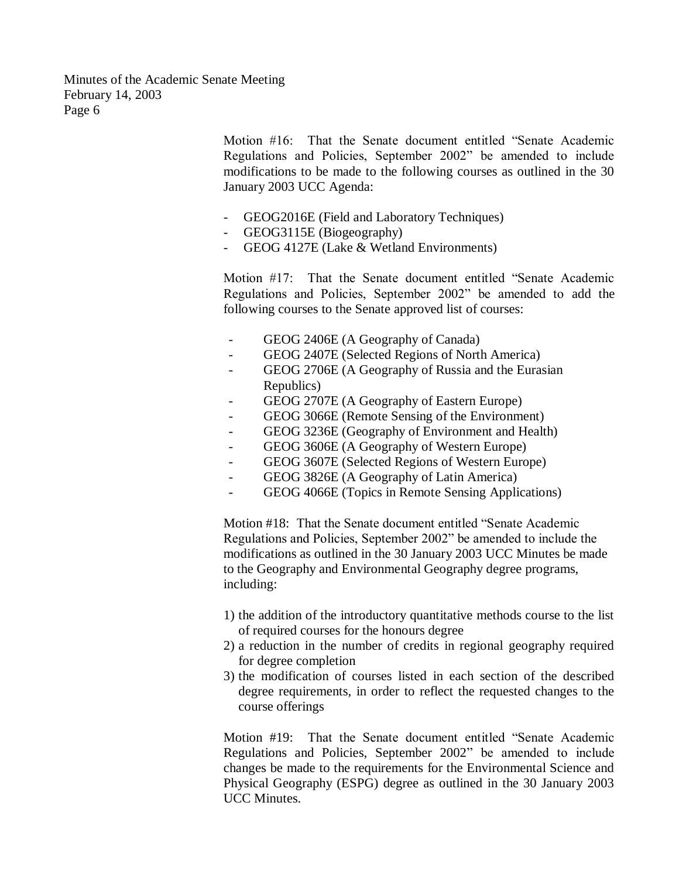> Motion #16: That the Senate document entitled "Senate Academic Regulations and Policies, September 2002" be amended to include modifications to be made to the following courses as outlined in the 30 January 2003 UCC Agenda:

- GEOG2016E (Field and Laboratory Techniques)
- GEOG3115E (Biogeography)
- GEOG 4127E (Lake & Wetland Environments)

Motion #17: That the Senate document entitled "Senate Academic Regulations and Policies, September 2002" be amended to add the following courses to the Senate approved list of courses:

- GEOG 2406E (A Geography of Canada)
- GEOG 2407E (Selected Regions of North America)
- GEOG 2706E (A Geography of Russia and the Eurasian Republics)
- GEOG 2707E (A Geography of Eastern Europe)
- GEOG 3066E (Remote Sensing of the Environment)
- GEOG 3236E (Geography of Environment and Health)
- GEOG 3606E (A Geography of Western Europe)
- GEOG 3607E (Selected Regions of Western Europe)
- GEOG 3826E (A Geography of Latin America)
- GEOG 4066E (Topics in Remote Sensing Applications)

Motion #18: That the Senate document entitled "Senate Academic Regulations and Policies, September 2002" be amended to include the modifications as outlined in the 30 January 2003 UCC Minutes be made to the Geography and Environmental Geography degree programs, including:

- 1) the addition of the introductory quantitative methods course to the list of required courses for the honours degree
- 2) a reduction in the number of credits in regional geography required for degree completion
- 3) the modification of courses listed in each section of the described degree requirements, in order to reflect the requested changes to the course offerings

Motion #19: That the Senate document entitled "Senate Academic Regulations and Policies, September 2002" be amended to include changes be made to the requirements for the Environmental Science and Physical Geography (ESPG) degree as outlined in the 30 January 2003 UCC Minutes.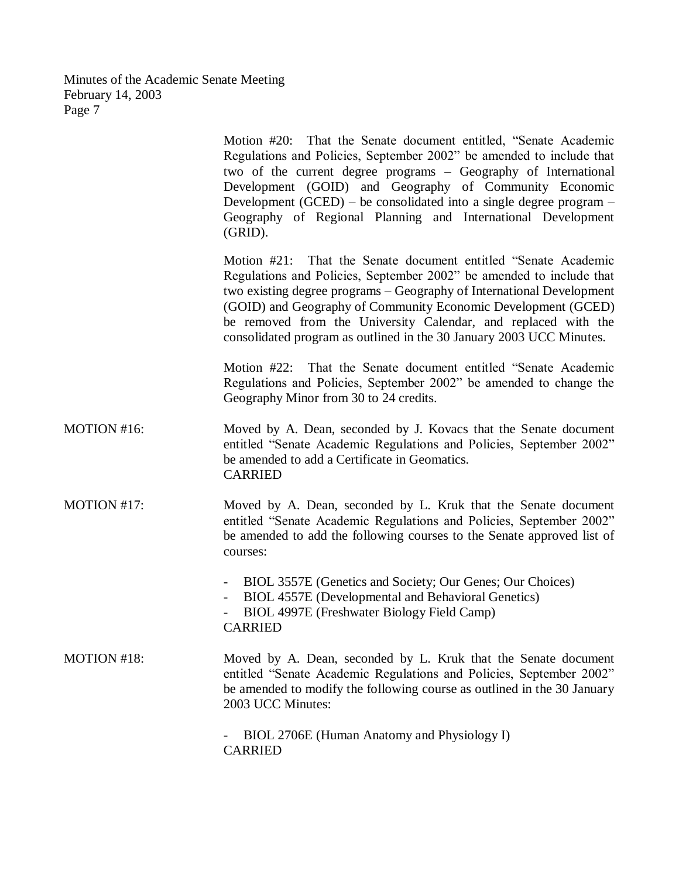|             | Motion #20: That the Senate document entitled, "Senate Academic<br>Regulations and Policies, September 2002" be amended to include that<br>two of the current degree programs – Geography of International<br>Development (GOID) and Geography of Community Economic<br>Development (GCED) – be consolidated into a single degree program –<br>Geography of Regional Planning and International Development<br>(GRID).     |
|-------------|----------------------------------------------------------------------------------------------------------------------------------------------------------------------------------------------------------------------------------------------------------------------------------------------------------------------------------------------------------------------------------------------------------------------------|
|             | Motion #21: That the Senate document entitled "Senate Academic<br>Regulations and Policies, September 2002" be amended to include that<br>two existing degree programs – Geography of International Development<br>(GOID) and Geography of Community Economic Development (GCED)<br>be removed from the University Calendar, and replaced with the<br>consolidated program as outlined in the 30 January 2003 UCC Minutes. |
|             | Motion #22: That the Senate document entitled "Senate Academic<br>Regulations and Policies, September 2002" be amended to change the<br>Geography Minor from 30 to 24 credits.                                                                                                                                                                                                                                             |
| MOTION #16: | Moved by A. Dean, seconded by J. Kovacs that the Senate document<br>entitled "Senate Academic Regulations and Policies, September 2002"<br>be amended to add a Certificate in Geomatics.<br><b>CARRIED</b>                                                                                                                                                                                                                 |
| MOTION #17: | Moved by A. Dean, seconded by L. Kruk that the Senate document<br>entitled "Senate Academic Regulations and Policies, September 2002"<br>be amended to add the following courses to the Senate approved list of<br>courses:                                                                                                                                                                                                |
|             | BIOL 3557E (Genetics and Society; Our Genes; Our Choices)<br>$\overline{\phantom{a}}$<br>BIOL 4557E (Developmental and Behavioral Genetics)<br>BIOL 4997E (Freshwater Biology Field Camp)<br><b>CARRIED</b>                                                                                                                                                                                                                |
| MOTION #18: | Moved by A. Dean, seconded by L. Kruk that the Senate document<br>entitled "Senate Academic Regulations and Policies, September 2002"<br>be amended to modify the following course as outlined in the 30 January<br>2003 UCC Minutes:                                                                                                                                                                                      |
|             | BIOL 2706E (Human Anatomy and Physiology I)<br><b>CARRIED</b>                                                                                                                                                                                                                                                                                                                                                              |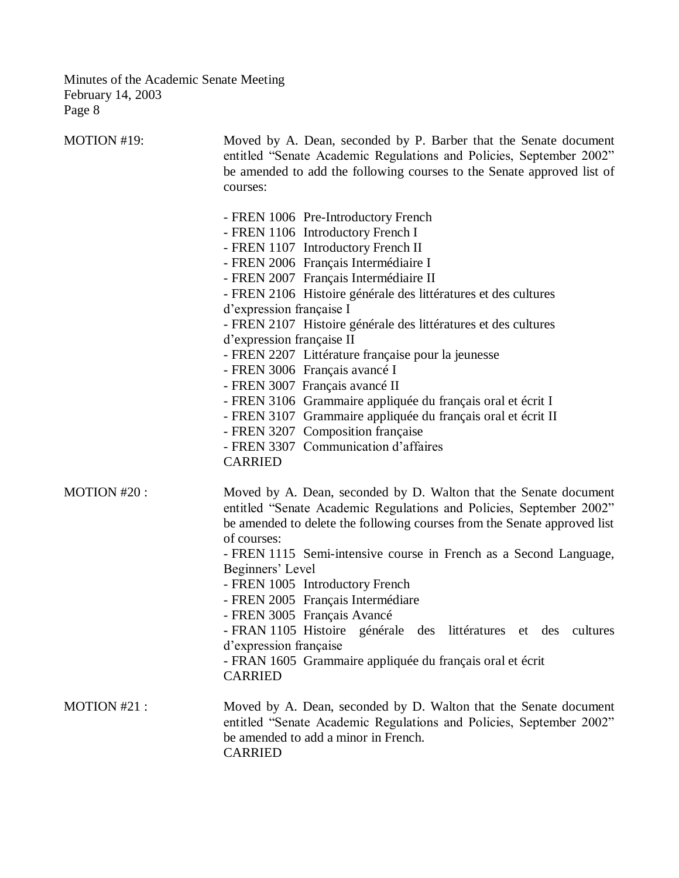| MOTION #19:  | Moved by A. Dean, seconded by P. Barber that the Senate document<br>entitled "Senate Academic Regulations and Policies, September 2002"<br>be amended to add the following courses to the Senate approved list of<br>courses:                                                                                                                                                                                                                                                                                                                                                                                                                                                                                                                       |  |  |
|--------------|-----------------------------------------------------------------------------------------------------------------------------------------------------------------------------------------------------------------------------------------------------------------------------------------------------------------------------------------------------------------------------------------------------------------------------------------------------------------------------------------------------------------------------------------------------------------------------------------------------------------------------------------------------------------------------------------------------------------------------------------------------|--|--|
|              | - FREN 1006 Pre-Introductory French<br>- FREN 1106 Introductory French I<br>- FREN 1107 Introductory French II<br>- FREN 2006 Français Intermédiaire I<br>- FREN 2007 Français Intermédiaire II<br>- FREN 2106 Histoire générale des littératures et des cultures<br>d'expression française I<br>- FREN 2107 Histoire générale des littératures et des cultures<br>d'expression française II<br>- FREN 2207 Littérature française pour la jeunesse<br>- FREN 3006 Français avancé I<br>- FREN 3007 Français avancé II<br>- FREN 3106 Grammaire appliquée du français oral et écrit I<br>- FREN 3107 Grammaire appliquée du français oral et écrit II<br>- FREN 3207 Composition française<br>- FREN 3307 Communication d'affaires<br><b>CARRIED</b> |  |  |
| MOTION #20:  | Moved by A. Dean, seconded by D. Walton that the Senate document<br>entitled "Senate Academic Regulations and Policies, September 2002"<br>be amended to delete the following courses from the Senate approved list<br>of courses:<br>- FREN 1115 Semi-intensive course in French as a Second Language,<br>Beginners' Level<br>- FREN 1005 Introductory French<br>- FREN 2005 Français Intermédiare<br>- FREN 3005 Français Avancé<br>- FRAN 1105 Histoire<br>générale des<br>littératures et des<br>cultures<br>d'expression française<br>- FRAN 1605 Grammaire appliquée du français oral et écrit<br><b>CARRIED</b>                                                                                                                              |  |  |
| MOTION #21 : | Moved by A. Dean, seconded by D. Walton that the Senate document<br>entitled "Senate Academic Regulations and Policies, September 2002"<br>be amended to add a minor in French.<br><b>CARRIED</b>                                                                                                                                                                                                                                                                                                                                                                                                                                                                                                                                                   |  |  |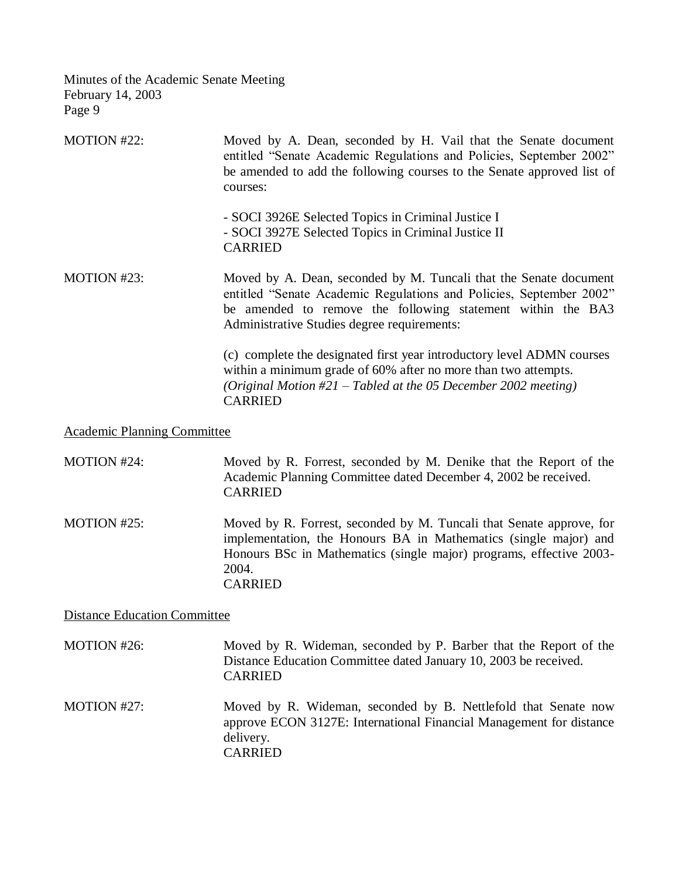| MOTION #22: | Moved by A. Dean, seconded by H. Vail that the Senate document<br>entitled "Senate Academic Regulations and Policies, September 2002"<br>be amended to add the following courses to the Senate approved list of<br>courses:                            |
|-------------|--------------------------------------------------------------------------------------------------------------------------------------------------------------------------------------------------------------------------------------------------------|
|             | - SOCI 3926E Selected Topics in Criminal Justice I<br>- SOCI 3927E Selected Topics in Criminal Justice II<br><b>CARRIED</b>                                                                                                                            |
| MOTION #23: | Moved by A. Dean, seconded by M. Tuncali that the Senate document<br>entitled "Senate Academic Regulations and Policies, September 2002"<br>be amended to remove the following statement within the BA3<br>Administrative Studies degree requirements: |
|             | (c) complete the designated first year introductory level ADMN courses<br>within a minimum grade of 60% after no more than two attempts.<br>(Original Motion $#21$ – Tabled at the 05 December 2002 meeting)<br><b>CARRIED</b>                         |

Academic Planning Committee

| MOTION #24:                         | Moved by R. Forrest, seconded by M. Denike that the Report of the<br>Academic Planning Committee dated December 4, 2002 be received.<br><b>CARRIED</b>                                                                                     |
|-------------------------------------|--------------------------------------------------------------------------------------------------------------------------------------------------------------------------------------------------------------------------------------------|
| MOTION #25:                         | Moved by R. Forrest, seconded by M. Tuncali that Senate approve, for<br>implementation, the Honours BA in Mathematics (single major) and<br>Honours BSc in Mathematics (single major) programs, effective 2003-<br>2004.<br><b>CARRIED</b> |
| <b>Distance Education Committee</b> |                                                                                                                                                                                                                                            |
| MOTION #26:                         | Moved by R. Wideman, seconded by P. Barber that the Report of the<br>Distance Education Committee dated January 10, 2003 be received.<br><b>CARRIED</b>                                                                                    |
| MOTION #27:                         | Moved by R. Wideman, seconded by B. Nettlefold that Senate now                                                                                                                                                                             |

approve ECON 3127E: International Financial Management for distance delivery. CARRIED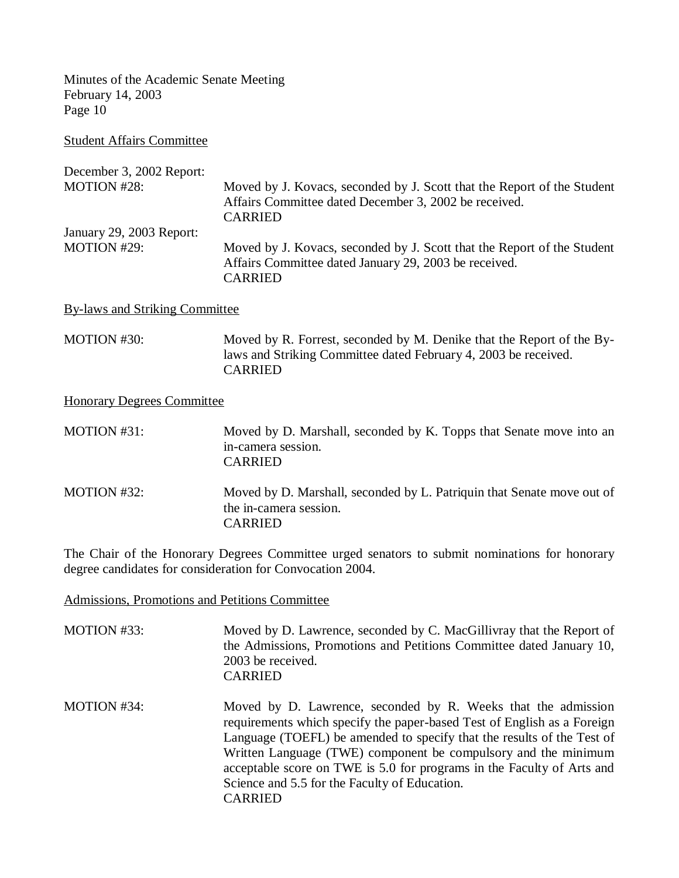Student Affairs Committee

| December 3, 2002 Report: |                                                                                                                                                    |
|--------------------------|----------------------------------------------------------------------------------------------------------------------------------------------------|
| <b>MOTION #28:</b>       | Moved by J. Kovacs, seconded by J. Scott that the Report of the Student<br>Affairs Committee dated December 3, 2002 be received.<br><b>CARRIED</b> |
| January 29, 2003 Report: |                                                                                                                                                    |
| <b>MOTION #29:</b>       | Moved by J. Kovacs, seconded by J. Scott that the Report of the Student<br>Affairs Committee dated January 29, 2003 be received.<br><b>CARRIED</b> |

By-laws and Striking Committee

MOTION #30: Moved by R. Forrest, seconded by M. Denike that the Report of the Bylaws and Striking Committee dated February 4, 2003 be received. CARRIED

Honorary Degrees Committee

| MOTION #31: | Moved by D. Marshall, seconded by K. Topps that Senate move into an<br>in-camera session.<br><b>CARRIED</b>        |
|-------------|--------------------------------------------------------------------------------------------------------------------|
| MOTION #32: | Moved by D. Marshall, seconded by L. Patriquin that Senate move out of<br>the in-camera session.<br><b>CARRIED</b> |

The Chair of the Honorary Degrees Committee urged senators to submit nominations for honorary degree candidates for consideration for Convocation 2004.

Admissions, Promotions and Petitions Committee

- MOTION #33: Moved by D. Lawrence, seconded by C. MacGillivray that the Report of the Admissions, Promotions and Petitions Committee dated January 10, 2003 be received. CARRIED
- MOTION #34: Moved by D. Lawrence, seconded by R. Weeks that the admission requirements which specify the paper-based Test of English as a Foreign Language (TOEFL) be amended to specify that the results of the Test of Written Language (TWE) component be compulsory and the minimum acceptable score on TWE is 5.0 for programs in the Faculty of Arts and Science and 5.5 for the Faculty of Education. CARRIED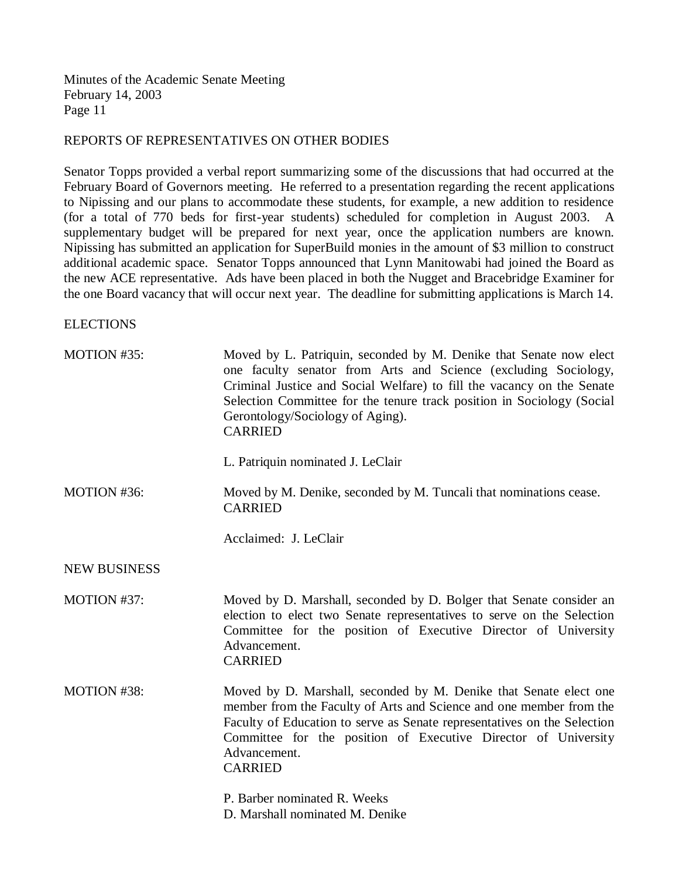### REPORTS OF REPRESENTATIVES ON OTHER BODIES

Senator Topps provided a verbal report summarizing some of the discussions that had occurred at the February Board of Governors meeting. He referred to a presentation regarding the recent applications to Nipissing and our plans to accommodate these students, for example, a new addition to residence (for a total of 770 beds for first-year students) scheduled for completion in August 2003. A supplementary budget will be prepared for next year, once the application numbers are known. Nipissing has submitted an application for SuperBuild monies in the amount of \$3 million to construct additional academic space. Senator Topps announced that Lynn Manitowabi had joined the Board as the new ACE representative. Ads have been placed in both the Nugget and Bracebridge Examiner for the one Board vacancy that will occur next year. The deadline for submitting applications is March 14.

**ELECTIONS** 

| MOTION #35:         | Moved by L. Patriquin, seconded by M. Denike that Senate now elect<br>one faculty senator from Arts and Science (excluding Sociology,<br>Criminal Justice and Social Welfare) to fill the vacancy on the Senate<br>Selection Committee for the tenure track position in Sociology (Social<br>Gerontology/Sociology of Aging).<br><b>CARRIED</b> |
|---------------------|-------------------------------------------------------------------------------------------------------------------------------------------------------------------------------------------------------------------------------------------------------------------------------------------------------------------------------------------------|
|                     | L. Patriquin nominated J. LeClair                                                                                                                                                                                                                                                                                                               |
| MOTION #36:         | Moved by M. Denike, seconded by M. Tuncali that nominations cease.<br><b>CARRIED</b>                                                                                                                                                                                                                                                            |
|                     | Acclaimed: J. LeClair                                                                                                                                                                                                                                                                                                                           |
| <b>NEW BUSINESS</b> |                                                                                                                                                                                                                                                                                                                                                 |
| MOTION #37:         | Moved by D. Marshall, seconded by D. Bolger that Senate consider an<br>election to elect two Senate representatives to serve on the Selection<br>Committee for the position of Executive Director of University<br>Advancement.<br><b>CARRIED</b>                                                                                               |
| MOTION #38:         | Moved by D. Marshall, seconded by M. Denike that Senate elect one<br>member from the Faculty of Arts and Science and one member from the<br>Faculty of Education to serve as Senate representatives on the Selection<br>Committee for the position of Executive Director of University<br>Advancement.<br><b>CARRIED</b>                        |
|                     | P. Barber nominated R. Weeks<br>D. Marshall nominated M. Denike                                                                                                                                                                                                                                                                                 |